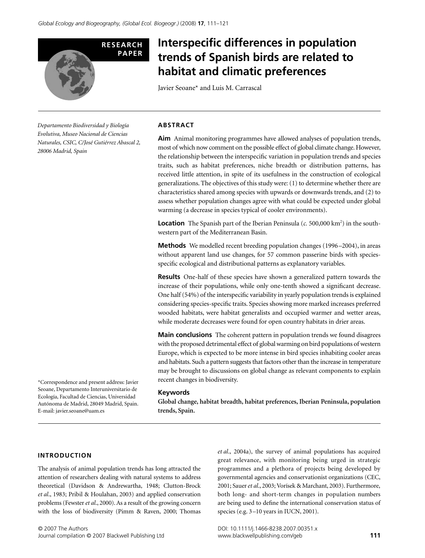

# **Interspecific differences in population trends of Spanish birds are related to habitat and climatic preferences**

Javier Seoane\* and Luis M. Carrascal

*Departamento Biodiversidad y Biología Evolutiva, Museo Nacional de Ciencias Naturales, CSIC, C/José Gutiérrez Abascal 2, 28006 Madrid, Spain*

## **ABSTRACT**

**Aim** Animal monitoring programmes have allowed analyses of population trends, most of which now comment on the possible effect of global climate change. However, the relationship between the interspecific variation in population trends and species traits, such as habitat preferences, niche breadth or distribution patterns, has received little attention, in spite of its usefulness in the construction of ecological generalizations. The objectives of this study were: (1) to determine whether there are characteristics shared among species with upwards or downwards trends, and (2) to assess whether population changes agree with what could be expected under global warming (a decrease in species typical of cooler environments).

**Location** The Spanish part of the Iberian Peninsula (*c.* 500,000 km<sup>2</sup>) in the southwestern part of the Mediterranean Basin.

**Methods** We modelled recent breeding population changes (1996–2004), in areas without apparent land use changes, for 57 common passerine birds with speciesspecific ecological and distributional patterns as explanatory variables.

**Results** One-half of these species have shown a generalized pattern towards the increase of their populations, while only one-tenth showed a significant decrease. One half (54%) of the interspecific variability in yearly population trends is explained considering species-specific traits. Species showing more marked increases preferred wooded habitats, were habitat generalists and occupied warmer and wetter areas, while moderate decreases were found for open country habitats in drier areas.

**Main conclusions** The coherent pattern in population trends we found disagrees with the proposed detrimental effect of global warming on bird populations of western Europe, which is expected to be more intense in bird species inhabiting cooler areas and habitats. Such a pattern suggests that factors other than the increase in temperature may be brought to discussions on global change as relevant components to explain recent changes in biodiversity.

#### **Keywords**

**Global change, habitat breadth, habitat preferences, Iberian Peninsula, population trends, Spain.**

#### \*Correspondence and present address: Javier Seoane, Departamento Interuniversitario de Ecología, Facultad de Ciencias, Universidad Autónoma de Madrid, 28049 Madrid, Spain. E-mail: javier.seoane@uam.es

## **INTRODUCTION**

The analysis of animal population trends has long attracted the attention of researchers dealing with natural systems to address theoretical (Davidson & Andrewartha, 1948; Clutton-Brock *et al*., 1983; Pribil & Houlahan, 2003) and applied conservation problems (Fewster *et al*., 2000). As a result of the growing concern with the loss of biodiversity (Pimm & Raven, 2000; Thomas *et al*., 2004a), the survey of animal populations has acquired great relevance, with monitoring being urged in strategic programmes and a plethora of projects being developed by governmental agencies and conservationist organizations (CEC, 2001; Sauer *et al*., 2003; Vorísek & Marchant, 2003). Furthermore, both long- and short-term changes in population numbers are being used to define the international conservation status of species (e.g. 3-10 years in IUCN, 2001).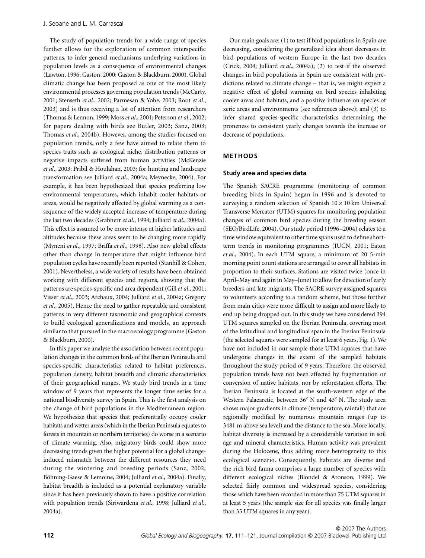The study of population trends for a wide range of species further allows for the exploration of common interspecific patterns, to infer general mechanisms underlying variations in population levels as a consequence of environmental changes (Lawton, 1996; Gaston, 2000; Gaston & Blackburn, 2000). Global climatic change has been proposed as one of the most likely environmental processes governing population trends (McCarty, 2001; Stenseth *et al*., 2002; Parmesan & Yohe, 2003; Root *et al*., 2003) and is thus receiving a lot of attention from researchers (Thomas & Lennon, 1999; Moss *et al*., 2001; Peterson *et al*., 2002; for papers dealing with birds see Butler, 2003; Sanz, 2003; Thomas *et al*., 2004b). However, among the studies focused on population trends, only a few have aimed to relate them to species traits such as ecological niche, distribution patterns or negative impacts suffered from human activities (McKenzie *et al*., 2003; Pribil & Houlahan, 2003; for hunting and landscape transformation see Julliard *et al*., 2004a; Meynecke, 2004). For example, it has been hypothesized that species preferring low environmental temperatures, which inhabit cooler habitats or areas, would be negatively affected by global warming as a consequence of the widely accepted increase of temperature during the last two decades (Grabherr *et al*., 1994; Julliard *et al*., 2004a). This effect is assumed to be more intense at higher latitudes and altitudes because these areas seem to be changing more rapidly (Myneni *et al*., 1997; Briffa *et al*., 1998). Also new global effects other than change in temperature that might influence bird population cycles have recently been reported (Stanhill & Cohen, 2001). Nevertheless, a wide variety of results have been obtained working with different species and regions, showing that the patterns are species-specific and area dependent (Gill *et al*., 2001; Visser *et al*., 2003; Archaux, 2004; Julliard *et al*., 2004a; Gregory *et al*., 2005). Hence the need to gather repeatable and consistent patterns in very different taxonomic and geographical contexts to build ecological generalizations and models, an approach similar to that pursued in the macroecology programme (Gaston & Blackburn, 2000).

In this paper we analyse the association between recent population changes in the common birds of the Iberian Peninsula and species-specific characteristics related to habitat preferences, population density, habitat breadth and climatic characteristics of their geographical ranges. We study bird trends in a time window of 9 years that represents the longer time series for a national biodiversity survey in Spain. This is the first analysis on the change of bird populations in the Mediterranean region. We hypothesize that species that preferentially occupy cooler habitats and wetter areas (which in the Iberian Peninsula equates to forests in mountain or northern territories) do worse in a scenario of climate warming. Also, migratory birds could show more decreasing trends given the higher potential for a global changeinduced mismatch between the different resources they need during the wintering and breeding periods (Sanz, 2002; Böhning-Gaese & Lemoine, 2004; Julliard *et al*., 2004a). Finally, habitat breadth is included as a potential explanatory variable since it has been previously shown to have a positive correlation with population trends (Siriwardena *et al*., 1998; Julliard *et al*., 2004a).

Our main goals are: (1) to test if bird populations in Spain are decreasing, considering the generalized idea about decreases in bird populations of western Europe in the last two decades (Crick, 2004; Julliard *et al*., 2004a); (2) to test if the observed changes in bird populations in Spain are consistent with predictions related to climate change – that is, we might expect a negative effect of global warming on bird species inhabiting cooler areas and habitats, and a positive influence on species of xeric areas and environments (see references above); and (3) to infer shared species-specific characteristics determining the proneness to consistent yearly changes towards the increase or decrease of populations.

### **METHODS**

#### **Study area and species data**

The Spanish SACRE programme (monitoring of common breeding birds in Spain) began in 1996 and is devoted to surveying a random selection of Spanish  $10 \times 10$  km Universal Transverse Mercator (UTM) squares for monitoring population changes of common bird species during the breeding season (SEO/BirdLife, 2004). Our study period (1996–2004) relates to a time window equivalent to other time spans used to define shortterm trends in monitoring programmes (IUCN, 2001; Eaton *et al*., 2004). In each UTM square, a minimum of 20 5-min morning point count stations are arranged to cover all habitats in proportion to their surfaces. Stations are visited twice (once in April–May and again in May–June) to allow for detection of early breeders and late migrants. The SACRE survey assigned squares to volunteers according to a random scheme, but those further from main cities were more difficult to assign and more likely to end up being dropped out. In this study we have considered 394 UTM squares sampled on the Iberian Peninsula, covering most of the latitudinal and longitudinal span in the Iberian Peninsula (the selected squares were sampled for at least 6 years, Fig. 1). We have not included in our sample those UTM squares that have undergone changes in the extent of the sampled habitats throughout the study period of 9 years. Therefore, the observed population trends have not been affected by fragmentation or conversion of native habitats, nor by reforestation efforts. The Iberian Peninsula is located at the south-western edge of the Western Palaearctic, between 36° N and 43° N. The study area shows major gradients in climate (temperature, rainfall) that are regionally modified by numerous mountain ranges (up to 3481 m above sea level) and the distance to the sea. More locally, habitat diversity is increased by a considerable variation in soil age and mineral characteristics. Human activity was prevalent during the Holocene, thus adding more heterogeneity to this ecological scenario. Consequently, habitats are diverse and the rich bird fauna comprises a large number of species with different ecological niches (Blondel & Aronson, 1999). We selected fairly common and widespread species, considering those which have been recorded in more than 75 UTM squares in at least 5 years (the sample size for all species was finally larger than 35 UTM squares in any year).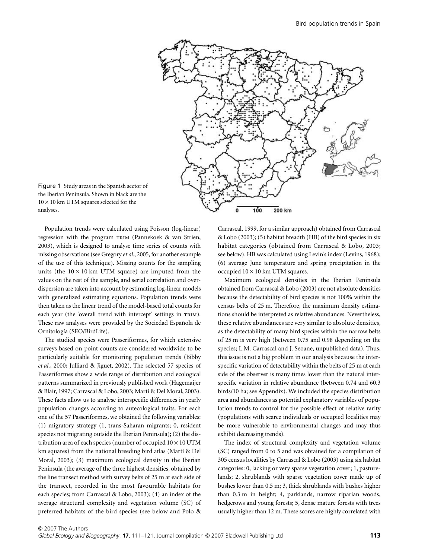

Figure 1 Study areas in the Spanish sector of the Iberian Peninsula. Shown in black are the  $10 \times 10$  km UTM squares selected for the analyses.

Population trends were calculated using Poisson (log-linear) regression with the program TRIM (Pannekoek & van Strien, 2003), which is designed to analyse time series of counts with missing observations (see Gregory *et al*., 2005, for another example of the use of this technique). Missing counts for the sampling units (the  $10 \times 10$  km UTM square) are imputed from the values on the rest of the sample, and serial correlation and overdispersion are taken into account by estimating log-linear models with generalized estimating equations. Population trends were then taken as the linear trend of the model-based total counts for each year (the 'overall trend with intercept' settings in TRIM). These raw analyses were provided by the Sociedad Española de Ornitología (SEO/BirdLife).

The studied species were Passeriformes, for which extensive surveys based on point counts are considered worldwide to be particularly suitable for monitoring population trends (Bibby *et al*., 2000; Julliard & Jiguet, 2002). The selected 57 species of Passeriformes show a wide range of distribution and ecological patterns summarized in previously published work (Hagemaijer & Blair, 1997; Carrascal & Lobo, 2003; Martí & Del Moral, 2003). These facts allow us to analyse interspecific differences in yearly population changes according to autecological traits. For each one of the 57 Passeriformes, we obtained the following variables: (1) migratory strategy (1, trans-Saharan migrants; 0, resident species not migrating outside the Iberian Peninsula); (2) the distribution area of each species (number of occupied  $10 \times 10$  UTM km squares) from the national breeding bird atlas (Martí & Del Moral, 2003); (3) maximum ecological density in the Iberian Peninsula (the average of the three highest densities, obtained by the line transect method with survey belts of 25 m at each side of the transect, recorded in the most favourable habitats for each species; from Carrascal & Lobo, 2003); (4) an index of the average structural complexity and vegetation volume (SC) of preferred habitats of the bird species (see below and Polo &

Carrascal, 1999, for a similar approach) obtained from Carrascal & Lobo (2003); (5) habitat breadth (HB) of the bird species in six habitat categories (obtained from Carrascal & Lobo, 2003; see below). HB was calculated using Levin's index (Levins, 1968); (6) average June temperature and spring precipitation in the occupied  $10 \times 10$  km UTM squares.

Maximum ecological densities in the Iberian Peninsula obtained from Carrascal & Lobo (2003) are not absolute densities because the detectability of bird species is not 100% within the census belts of 25 m. Therefore, the maximum density estimations should be interpreted as relative abundances. Nevertheless, these relative abundances are very similar to absolute densities, as the detectability of many bird species within the narrow belts of 25 m is very high (between 0.75 and 0.98 depending on the species; L.M. Carrascal and J. Seoane, unpublished data). Thus, this issue is not a big problem in our analysis because the interspecific variation of detectability within the belts of 25 m at each side of the observer is many times lower than the natural interspecific variation in relative abundance (between 0.74 and 60.3 birds/10 ha; see Appendix). We included the species distribution area and abundances as potential explanatory variables of population trends to control for the possible effect of relative rarity (populations with scarce individuals or occupied localities may be more vulnerable to environmental changes and may thus exhibit decreasing trends).

The index of structural complexity and vegetation volume (SC) ranged from 0 to 5 and was obtained for a compilation of 305 census localities by Carrascal & Lobo (2003) using six habitat categories: 0, lacking or very sparse vegetation cover; 1, pasturelands; 2, shrublands with sparse vegetation cover made up of bushes lower than 0.5 m; 3, thick shrublands with bushes higher than 0.3 m in height; 4, parklands, narrow riparian woods, hedgerows and young forests; 5, dense mature forests with trees usually higher than 12 m. These scores are highly correlated with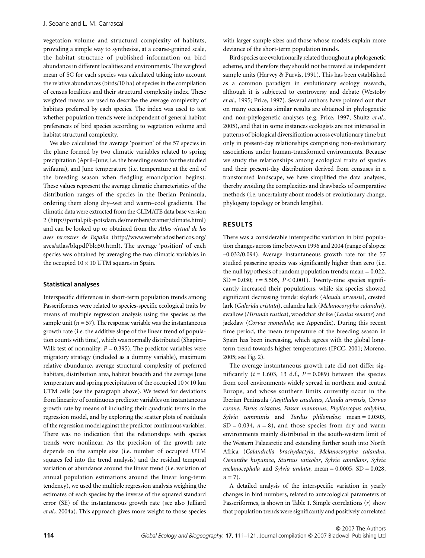vegetation volume and structural complexity of habitats, providing a simple way to synthesize, at a coarse-grained scale, the habitat structure of published information on bird abundance in different localities and environments. The weighted mean of SC for each species was calculated taking into account the relative abundances (birds/10 ha) of species in the compilation of census localities and their structural complexity index. These weighted means are used to describe the average complexity of habitats preferred by each species. The index was used to test whether population trends were independent of general habitat preferences of bird species according to vegetation volume and habitat structural complexity.

We also calculated the average 'position' of the 57 species in the plane formed by two climatic variables related to spring precipitation (April–June; i.e. the breeding season for the studied avifauna), and June temperature (i.e. temperature at the end of the breeding season when fledgling emancipation begins). These values represent the average climatic characteristics of the distribution ranges of the species in the Iberian Peninsula, ordering them along dry–wet and warm–cool gradients. The climatic data were extracted from the CLIMATE data base version 2 [\(http://portal.pik-potsdam.de/members/cramer/climate.html\)](http://portal.pik-potsdam.de/members/cramer/climate.html) and can be looked up or obtained from the *Atlas virtual de las aves terrestres de España* [\(http://www.vertebradosibericos.org/](http://www.vertebradosibericos.org/aves/atlas/blqpdf/blq50.html) [aves/atlas/blqpdf/blq50.html\)](http://www.vertebradosibericos.org/aves/atlas/blqpdf/blq50.html). The average 'position' of each species was obtained by averaging the two climatic variables in the occupied  $10 \times 10$  UTM squares in Spain.

#### **Statistical analyses**

Interspecific differences in short-term population trends among Passeriformes were related to species-specific ecological traits by means of multiple regression analysis using the species as the sample unit ( $n = 57$ ). The response variable was the instantaneous growth rate (i.e. the additive slope of the linear trend of population counts with time), which was normally distributed (Shapiro– Wilk test of normality:  $P = 0.395$ ). The predictor variables were migratory strategy (included as a dummy variable), maximum relative abundance, average structural complexity of preferred habitats, distribution area, habitat breadth and the average June temperature and spring precipitation of the occupied  $10 \times 10$  km UTM cells (see the paragraph above). We tested for deviations from linearity of continuous predictor variables on instantaneous growth rate by means of including their quadratic terms in the regression model, and by exploring the scatter plots of residuals of the regression model against the predictor continuous variables. There was no indication that the relationships with species trends were nonlinear. As the precision of the growth rate depends on the sample size (i.e. number of occupied UTM squares fed into the trend analysis) and the residual temporal variation of abundance around the linear trend (i.e. variation of annual population estimations around the linear long-term tendency), we used the multiple regression analysis weighing the estimates of each species by the inverse of the squared standard error (SE) of the instantaneous growth rate (see also Julliard *et al*., 2004a). This approach gives more weight to those species

with larger sample sizes and those whose models explain more deviance of the short-term population trends.

Bird species are evolutionarily related throughout a phylogenetic scheme, and therefore they should not be treated as independent sample units (Harvey & Purvis, 1991). This has been established as a common paradigm in evolutionary ecology research, although it is subjected to controversy and debate (Westoby *et al*., 1995; Price, 1997). Several authors have pointed out that on many occasions similar results are obtained in phylogenetic and non-phylogenetic analyses (e.g. Price, 1997; Shultz *et al*., 2005), and that in some instances ecologists are not interested in patterns of biological diversification across evolutionary time but only in present-day relationships comprising non-evolutionary associations under human-transformed environments. Because we study the relationships among ecological traits of species and their present-day distribution derived from censuses in a transformed landscape, we have simplified the data analyses, thereby avoiding the complexities and drawbacks of comparative methods (i.e. uncertainty about models of evolutionary change, phylogeny topology or branch lengths).

## **RESULTS**

There was a considerable interspecific variation in bird population changes across time between 1996 and 2004 (range of slopes: –0.032/0.094). Average instantaneous growth rate for the 57 studied passerine species was significantly higher than zero (i.e. the null hypothesis of random population trends; mean = 0.022,  $SD = 0.030$ ;  $t = 5.505$ ,  $P < 0.001$ ). Twenty-nine species significantly increased their populations, while six species showed significant decreasing trends: skylark (*Alauda arvensis*), crested lark (*Galerida cristata*), calandra lark (*Melanocorypha calandra*), swallow (*Hirundo rustica*), woodchat shrike (*Lanius senator*) and jackdaw (*Corvus monedula*; see Appendix). During this recent time period, the mean temperature of the breeding season in Spain has been increasing, which agrees with the global longterm trend towards higher temperatures (IPCC, 2001; Moreno, 2005; see Fig. 2).

The average instantaneous growth rate did not differ significantly  $(t = 1.603, 13 \text{ d.f., } P = 0.089)$  between the species from cool environments widely spread in northern and central Europe, and whose southern limits currently occur in the Iberian Peninsula (*Aegithalos caudatus*, *Alauda arvensis*, *Corvus corone*, *Parus cristatus*, *Passer montanus*, *Phylloscopus collybita*, *Sylvia communis* and *Turdus philomelos*; mean = 0.0303,  $SD = 0.034$ ,  $n = 8$ ), and those species from dry and warm environments mainly distributed in the south-western limit of the Western Palaearctic and extending further south into North Africa (*Calandrella brachydactyla*, *Melanocorypha calandra*, *Oenanthe hispanica*, *Sturnus unicolor*, *Sylvia cantillans*, *Sylvia melanocephala* and *Sylvia undata*; mean = 0.0005, SD = 0.028,  $n = 7$ ).

A detailed analysis of the interspecific variation in yearly changes in bird numbers, related to autecological parameters of Passeriformes, is shown in Table 1. Simple correlations (*r*) show that population trends were significantly and positively correlated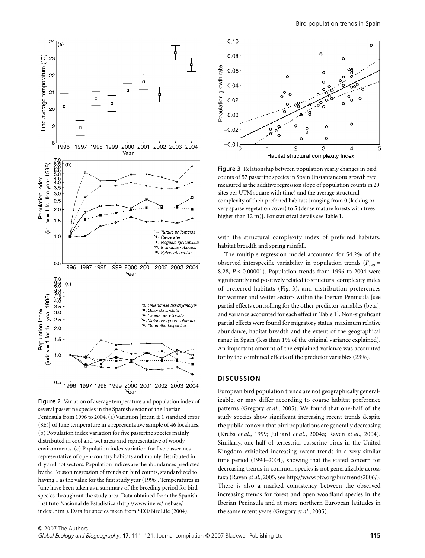

Figure 2 Variation of average temperature and population index of several passerine species in the Spanish sector of the Iberian Peninsula from 1996 to 2004. (a) Variation [mean ± 1 standard error (SE)] of June temperature in a representative sample of 46 localities. (b) Population index variation for five passerine species mainly distributed in cool and wet areas and representative of woody environments. (c) Population index variation for five passerines representative of open-country habitats and mainly distributed in dry and hot sectors. Population indices are the abundances predicted by the Poisson regression of trends on bird counts, standardized to having 1 as the value for the first study year (1996). Temperatures in June have been taken as a summary of the breeding period for bird species throughout the study area. Data obtained from the Spanish Instituto Nacional de Estadistica [\(http://www.ine.es/inebase/](http://www.ine.es/inebase/indexi.html) [indexi.html\)](http://www.ine.es/inebase/indexi.html). Data for species taken from SEO/BirdLife (2004).



Figure 3 Relationship between population yearly changes in bird counts of 57 passerine species in Spain (instantaneous growth rate measured as the additive regression slope of population counts in 20 sites per UTM square with time) and the average structural complexity of their preferred habitats [ranging from 0 (lacking or very sparse vegetation cover) to 5 (dense mature forests with trees higher than 12 m)]. For statistical details see Table 1.

with the structural complexity index of preferred habitats, habitat breadth and spring rainfall.

The multiple regression model accounted for 54.2% of the observed interspecific variability in population trends  $(F_{7,49} =$ 8.28, *P* < 0.00001). Population trends from 1996 to 2004 were significantly and positively related to structural complexity index of preferred habitats (Fig. 3), and distribution preferences for warmer and wetter sectors within the Iberian Peninsula [see partial effects controlling for the other predictor variables (beta), and variance accounted for each effect in Table 1]. Non-significant partial effects were found for migratory status, maximum relative abundance, habitat breadth and the extent of the geographical range in Spain (less than 1% of the original variance explained). An important amount of the explained variance was accounted for by the combined effects of the predictor variables (23%).

### **DISCUSSION**

European bird population trends are not geographically generalizable, or may differ according to coarse habitat preference patterns (Gregory *et al*., 2005). We found that one-half of the study species show significant increasing recent trends despite the public concern that bird populations are generally decreasing (Krebs *et al*., 1999; Julliard *et al*., 2004a; Raven *et al*., 2004). Similarly, one-half of terrestrial passerine birds in the United Kingdom exhibited increasing recent trends in a very similar time period (1994–2004), showing that the stated concern for decreasing trends in common species is not generalizable across taxa (Raven *et al*., 2005, see [http://www.bto.org/birdtrends2006/\).](http://www.bto.org/birdtrends2006/) There is also a marked consistency between the observed increasing trends for forest and open woodland species in the Iberian Peninsula and at more northern European latitudes in the same recent years (Gregory *et al*., 2005).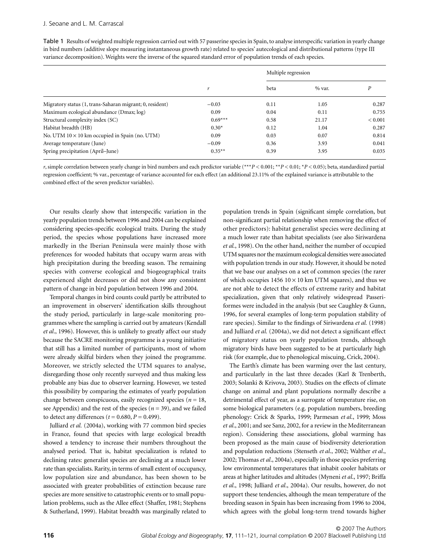| Table 1 Results of weighted multiple regression carried out with 57 passerine species in Spain, to analyse interspecific variation in yearly change |
|-----------------------------------------------------------------------------------------------------------------------------------------------------|
| in bird numbers (additive slope measuring instantaneous growth rate) related to species' autecological and distributional patterns (type III        |
| variance decomposition). Weights were the inverse of the squared standard error of population trends of each species.                               |

|                                                          | r         | Multiple regression |        |              |  |  |
|----------------------------------------------------------|-----------|---------------------|--------|--------------|--|--|
|                                                          |           | beta                | % var. | P            |  |  |
| Migratory status (1, trans-Saharan migrant; 0, resident) | $-0.03$   | 0.11                | 1.05   | 0.287        |  |  |
| Maximum ecological abundance (Dmax; log)                 | 0.09      | 0.04                | 0.11   | 0.755        |  |  |
| Structural complexity index (SC)                         | $0.69***$ | 0.58                | 21.17  | ${}_{0.001}$ |  |  |
| Habitat breadth (HB)                                     | $0.30*$   | 0.12                | 1.04   | 0.287        |  |  |
| No. UTM $10 \times 10$ km occupied in Spain (no. UTM)    | 0.09      | 0.03                | 0.07   | 0.814        |  |  |
| Average temperature (June)                               | $-0.09$   | 0.36                | 3.93   | 0.041        |  |  |
| Spring precipitation (April–June)                        | $0.35**$  | 0.39                | 3.95   | 0.035        |  |  |

*r*, simple correlation between yearly change in bird numbers and each predictor variable (\*\*\**P* < 0.001; \*\**P* < 0.01; \**P* < 0.05); beta, standardized partial regression coefficient; % var., percentage of variance accounted for each effect (an additional 23.11% of the explained variance is attributable to the combined effect of the seven predictor variables).

Our results clearly show that interspecific variation in the yearly population trends between 1996 and 2004 can be explained considering species-specific ecological traits. During the study period, the species whose populations have increased more markedly in the Iberian Peninsula were mainly those with preferences for wooded habitats that occupy warm areas with high precipitation during the breeding season. The remaining species with converse ecological and biogeographical traits experienced slight decreases or did not show any consistent pattern of change in bird population between 1996 and 2004.

Temporal changes in bird counts could partly be attributed to an improvement in observers' identification skills throughout the study period, particularly in large-scale monitoring programmes where the sampling is carried out by amateurs (Kendall *et al*., 1996). However, this is unlikely to greatly affect our study because the SACRE monitoring programme is a young initiative that still has a limited number of participants, most of whom were already skilful birders when they joined the programme. Moreover, we strictly selected the UTM squares to analyse, disregarding those only recently surveyed and thus making less probable any bias due to observer learning. However, we tested this possibility by comparing the estimates of yearly population change between conspicuous, easily recognized species (*n* = 18, see Appendix) and the rest of the species ( $n = 39$ ), and we failed to detect any differences ( $t = 0.680$ ,  $P = 0.499$ ).

Julliard *et al.* (2004a), working with 77 common bird species in France, found that species with large ecological breadth showed a tendency to increase their numbers throughout the analysed period. That is, habitat specialization is related to declining rates: generalist species are declining at a much lower rate than specialists. Rarity, in terms of small extent of occupancy, low population size and abundance, has been shown to be associated with greater probabilities of extinction because rare species are more sensitive to catastrophic events or to small population problems, such as the Allee effect (Shaffer, 1981; Stephens & Sutherland, 1999). Habitat breadth was marginally related to

population trends in Spain (significant simple correlation, but non-significant partial relationship when removing the effect of other predictors): habitat generalist species were declining at a much lower rate than habitat specialists (see also Siriwardena *et al.*, 1998). On the other hand, neither the number of occupied UTM squares nor the maximum ecological densities were associated with population trends in our study. However, it should be noted that we base our analyses on a set of common species (the rarer of which occupies  $1456$   $10 \times 10$  km UTM squares), and thus we are not able to detect the effects of extreme rarity and habitat specialization, given that only relatively widespread Passeriformes were included in the analysis (but see Caughley & Gunn, 1996, for several examples of long-term population stability of rare species). Similar to the findings of Siriwardena *et al.* (1998) and Julliard *et al.* (2004a), we did not detect a significant effect of migratory status on yearly population trends, although migratory birds have been suggested to be at particularly high risk (for example, due to phenological miscuing, Crick, 2004).

The Earth's climate has been warming over the last century, and particularly in the last three decades (Karl & Trenberth, 2003; Solanki & Krivova, 2003). Studies on the effects of climate change on animal and plant populations normally describe a detrimental effect of year, as a surrogate of temperature rise, on some biological parameters (e.g. population numbers, breeding phenology: Crick & Sparks, 1999; Parmesan *et al*., 1999; Moss *et al*., 2001; and see Sanz, 2002, for a review in the Mediterranean region). Considering these associations, global warming has been proposed as the main cause of biodiversity deterioration and population reductions (Stenseth *et al*., 2002; Walther *et al*., 2002; Thomas *et al*., 2004a), especially in those species preferring low environmental temperatures that inhabit cooler habitats or areas at higher latitudes and altitudes (Myneni *et al*., 1997; Briffa *et al*., 1998; Julliard *et al*., 2004a). Our results, however, do not support these tendencies, although the mean temperature of the breeding season in Spain has been increasing from 1996 to 2004, which agrees with the global long-term trend towards higher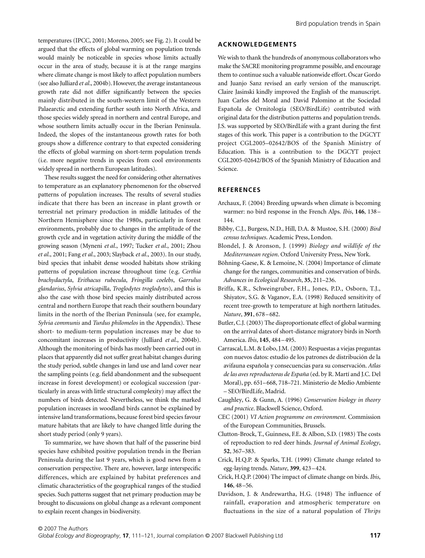temperatures (IPCC, 2001; Moreno, 2005; see Fig. 2). It could be argued that the effects of global warming on population trends would mainly be noticeable in species whose limits actually occur in the area of study, because it is at the range margins where climate change is most likely to affect population numbers (see also Julliard *et al*., 2004b). However, the average instantaneous growth rate did not differ significantly between the species mainly distributed in the south-western limit of the Western Palaearctic and extending further south into North Africa, and those species widely spread in northern and central Europe, and whose southern limits actually occur in the Iberian Peninsula. Indeed, the slopes of the instantaneous growth rates for both groups show a difference contrary to that expected considering the effects of global warming on short-term population trends (i.e. more negative trends in species from cool environments widely spread in northern European latitudes).

These results suggest the need for considering other alternatives to temperature as an explanatory phenomenon for the observed patterns of population increases. The results of several studies indicate that there has been an increase in plant growth or terrestrial net primary production in middle latitudes of the Northern Hemisphere since the 1980s, particularly in forest environments, probably due to changes in the amplitude of the growth cycle and in vegetation activity during the middle of the growing season (Myneni *et al*., 1997; Tucker *et al*., 2001; Zhou *et al*., 2001; Fang *et al*., 2003; Slayback *et al*., 2003). In our study, bird species that inhabit dense wooded habitats show striking patterns of population increase throughout time (e.g. *Certhia brachydactyla*, *Erithacus rubecula*, *Fringilla coelebs*, *Garrulus glandarius*, *Sylvia atricapilla*, *Troglodytes troglodytes*), and this is also the case with those bird species mainly distributed across central and northern Europe that reach their southern boundary limits in the north of the Iberian Peninsula (see, for example, *Sylvia communis* and *Turdus philomelos* in the Appendix). These short- to medium-term population increases may be due to concomitant increases in productivity (Julliard *et al*., 2004b). Although the monitoring of birds has mostly been carried out in places that apparently did not suffer great habitat changes during the study period, subtle changes in land use and land cover near the sampling points (e.g. field abandonment and the subsequent increase in forest development) or ecological succession (particularly in areas with little structural complexity) may affect the numbers of birds detected. Nevertheless, we think the marked population increases in woodland birds cannot be explained by intensive land transformations, because forest bird species favour mature habitats that are likely to have changed little during the short study period (only 9 years).

To summarize, we have shown that half of the passerine bird species have exhibited positive population trends in the Iberian Peninsula during the last 9 years, which is good news from a conservation perspective. There are, however, large interspecific differences, which are explained by habitat preferences and climatic characteristics of the geographical ranges of the studied species. Such patterns suggest that net primary production may be brought to discussions on global change as a relevant component to explain recent changes in biodiversity.

## **ACKNOWLEDGEMENTS**

We wish to thank the hundreds of anonymous collaborators who make the SACRE monitoring programme possible, and encourage them to continue such a valuable nationwide effort. Óscar Gordo and Juanjo Sanz revised an early version of the manuscript. Claire Jasinski kindly improved the English of the manuscript. Juan Carlos del Moral and David Palomino at the Sociedad Española de Ornitología (SEO/BirdLife) contributed with original data for the distribution patterns and population trends. J.S. was supported by SEO/BirdLife with a grant during the first stages of this work. This paper is a contribution to the DGCYT project CGL2005–02642/BOS of the Spanish Ministry of Education. This is a contribution to the DGCYT project CGL2005-02642/BOS of the Spanish Ministry of Education and Science.

## **REFERENCES**

- Archaux, F. (2004) Breeding upwards when climate is becoming warmer: no bird response in the French Alps. *Ibis*, **146**, 138– 144.
- Bibby, C.J., Burgess, N.D., Hill, D.A. & Mustoe, S.H. (2000) *Bird census techniques*. Academic Press, London.
- Blondel, J. & Aronson, J. (1999) *Biology and wildlife of the Mediterranean region*. Oxford University Press, New York.
- Böhning-Gaese, K. & Lemoine, N. (2004) Importance of climate change for the ranges, communities and conservation of birds. *Advances in Ecological Research*, **35**, 211–236.
- Briffa, K.R., Schweingruber, F.H., Jones, P.D., Osborn, T.J., Shiyatov, S.G. & Vaganov, E.A. (1998) Reduced sensitivity of recent tree-growth to temperature at high northern latitudes. *Nature*, **391**, 678–682.
- Butler, C.J. (2003) The disproportionate effect of global warming on the arrival dates of short-distance migratory birds in North America. *Ibis*, **145**, 484–495.
- Carrascal, L.M. & Lobo, J.M. (2003) Respuestas a viejas preguntas con nuevos datos: estudio de los patrones de distribución de la avifauna española y consecuencias para su conservación. *Atlas de las aves reproductoras de España* (ed. by R. Martí and J.C. Del Moral), pp. 651–668, 718–721. Ministerio de Medio Ambiente – SEO/BirdLife, Madrid.
- Caughley, G. & Gunn, A. (1996) *Conservation biology in theory and practice*. Blackwell Science, Oxford.
- CEC (2001) *VI Action programme on environment*. Commission of the European Communities, Brussels.
- Clutton-Brock, T., Guinness, F.E. & Albon, S.D. (1983) The costs of reproduction to red deer hinds. *Journal of Animal Ecology*, **52**, 367–383.
- Crick, H.Q.P. & Sparks, T.H. (1999) Climate change related to egg-laying trends. *Nature*, **399**, 423–424.
- Crick, H.Q.P. (2004) The impact of climate change on birds. *Ibis*, **146**, 48–56.
- Davidson, J. & Andrewartha, H.G. (1948) The influence of rainfall, evaporation and atmospheric temperature on fluctuations in the size of a natural population of *Thrips*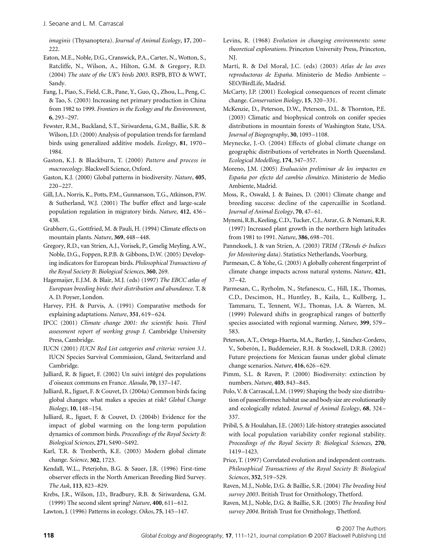*imaginis* (Thysanoptera). *Journal of Animal Ecology*, **17**, 200– 222.

- Eaton, M.E., Noble, D.G., Cranswick, P.A., Carter, N., Wotton, S., Ratcliffe, N., Wilson, A., Hilton, G.M. & Gregory, R.D. (2004) *The state of the UK's birds 2003*. RSPB, BTO & WWT, Sandy.
- Fang, J., Piao, S., Field, C.B., Pane, Y., Guo, Q., Zhou, L., Peng, C. & Tao, S. (2003) Increasing net primary production in China from 1982 to 1999. *Frontiers in the Ecology and the Environment*, **6**, 293–297.
- Fewster, R.M., Buckland, S.T., Siriwardena, G.M., Baillie, S.R. & Wilson, J.D. (2000) Analysis of population trends for farmland birds using generalized additive models. *Ecology*, **81**, 1970– 1984.
- Gaston, K.J. & Blackburn, T. (2000) *Pattern and process in macroecology*. Blackwell Science, Oxford.
- Gaston, K.J. (2000) Global patterns in biodiversity. *Nature*, **405**, 220–227.
- Gill, J.A., Norris, K., Potts, P.M., Gunnarsson, T.G., Atkinson, P.W. & Sutherland, W.J. (2001) The buffer effect and large-scale population regulation in migratory birds. *Nature*, **412**, 436– 438.
- Grabherr, G., Gottfried, M. & Pauli, H. (1994) Climate effects on mountain plants. *Nature*, **369**, 448–448.
- Gregory, R.D., van Strien, A.J., Vorisek, P., Gmelig Meyling, A.W., Noble, D.G., Foppen, R.P.B. & Gibbons, D.W. (2005) Developing indicators for European birds. *Philosophical Transactions of the Royal Society B: Biological Sciences*, **360**, 269.
- Hagemaijer, E.J.M. & Blair, M.J. (eds) (1997) *The EBCC atlas of European breeding birds: their distribution and abundance*. T. & A. D. Poyser, London.
- Harvey, P.H. & Purvis, A. (1991) Comparative methods for explaining adaptations. *Nature*, **351**, 619–624.
- IPCC (2001) *Climate change 2001: the scientific basis. Third assessment report of working group I*. Cambridge University Press, Cambridge.
- IUCN (2001) *IUCN Red List categories and criteria: version 3.1*. IUCN Species Survival Commission, Gland, Switzerland and Cambridge.
- Julliard, R. & Jiguet, F. (2002) Un suivi intégré des populations d'oiseaux communs en France. *Alauda*, **70**, 137–147.
- Julliard, R., Jiguet, F. & Couvet, D. (2004a) Common birds facing global changes: what makes a species at risk? *Global Change Biology*, **10**, 148–154.
- Julliard, R., Jiguet, F. & Couvet, D. (2004b) Evidence for the impact of global warming on the long-term population dynamics of common birds. *Proceedings of the Royal Society B: Biological Sciences*, **271**, S490–S492.
- Karl, T.R. & Trenberth, K.E. (2003) Modern global climate change. *Science*, **302**, 1723.
- Kendall, W.L., Peterjohn, B.G. & Sauer, J.R. (1996) First-time observer effects in the North American Breeding Bird Survey. *The Auk*, **113**, 823–829.
- Krebs, J.R., Wilson, J.D., Bradbury, R.B. & Siriwardena, G.M. (1999) The second silent spring? *Nature*, **400**, 611–612.
- Lawton, J. (1996) Patterns in ecology. *Oikos*, **75**, 145–147.
- Levins, R. (1968) *Evolution in changing environments: some theoretical explorations*. Princeton University Press, Princeton, NJ.
- Martí, R. & Del Moral, J.C. (eds) (2003) *Atlas de las aves reproductoras de España*. Ministerio de Medio Ambiente – SEO/BirdLife, Madrid.
- McCarty, J.P. (2001) Ecological consequences of recent climate change. *Conservation Biology*, **15**, 320–331.
- McKenzie, D., Peterson, D.W., Peterson, D.L. & Thornton, P.E. (2003) Climatic and biophysical controls on conifer species distributions in mountain forests of Washington State, USA. *Journal of Biogeography*, **30**, 1093–1108.
- Meynecke, J.-O. (2004) Effects of global climate change on geographic distributions of vertebrates in North Queensland. *Ecological Modelling*, **174**, 347–357.
- Moreno, J.M. (2005) *Evaluación preliminar de los impactos en España por efecto del cambio climático*. Ministerio de Medio Ambiente, Madrid.
- Moss, R., Oswald, J. & Baines, D. (2001) Climate change and breeding success: decline of the capercaillie in Scotland. *Journal of Animal Ecology*, **70**, 47–61.
- Myneni, R.B., Keeling, C.D., Tucker, C.J., Asrar, G. & Nemani, R.R. (1997) Increased plant growth in the northern high latitudes from 1981 to 1991. *Nature*, **386**, 698–701.
- Pannekoek, J. & van Strien, A. (2003) *TRIM (TRends & Indices for Monitoring data)*. Statistics Netherlands, Voorburg.
- Parmesan, C. & Yohe, G. (2003) A globally coherent fingerprint of climate change impacts across natural systems. *Nature*, **421**, 37–42.
- Parmesan, C., Ryrholm, N., Stefanescu, C., Hill, J.K., Thomas, C.D., Descimon, H., Huntley, B., Kaila, L., Kullberg, J., Tammaru, T., Tennent, W.J., Thomas, J.A. & Warren, M. (1999) Poleward shifts in geographical ranges of butterfly species associated with regional warming. *Nature*, **399**, 579– 583.
- Peterson, A.T., Ortega-Huerta, M.A., Bartley, J., Sánchez-Cordero, V., Soberón, J., Buddemeier, R.H. & Stockwell, D.R.B. (2002) Future projections for Mexican faunas under global climate change scenarios. *Nature*, **416**, 626–629.
- Pimm, S.L. & Raven, P. (2000) Biodiversity: extinction by numbers. *Nature*, **403**, 843–845.
- Polo, V. & Carrascal, L.M. (1999) Shaping the body size distribution of passeriformes: habitat use and body size are evolutionarily and ecologically related. *Journal of Animal Ecology*, **68**, 324– 337.
- Pribil, S. & Houlahan, J.E. (2003) Life-history strategies associated with local population variability confer regional stability. *Proceedings of the Royal Society B: Biological Sciences*, **270**, 1419–1423.
- Price, T. (1997) Correlated evolution and independent contrasts. *Philosophical Transactions of the Royal Society B: Biological Sciences*, **352**, 519–529.
- Raven, M.J., Noble, D.G. & Baillie, S.R. (2004) *The breeding bird survey 2003*. British Trust for Ornithology, Thetford.
- Raven, M.J., Noble, D.G. & Baillie, S.R. (2005) *The breeding bird survey 2004*. British Trust for Ornithology, Thetford.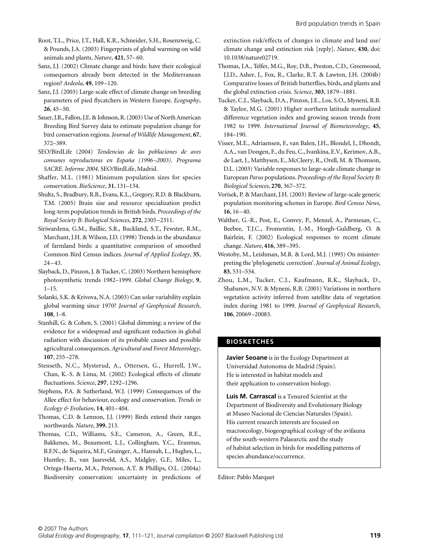- Root, T.L., Price, J.T., Hall, K.R., Schneider, S.H., Rosenzweig, C. & Pounds, J.A. (2003) Fingerprints of global warming on wild animals and plants. *Nature*, **421**, 57–60.
- Sanz, J.J. (2002) Climate change and birds: have their ecological consequences already been detected in the Mediterranean region? *Ardeola*, **49**, 109–120.
- Sanz, J.J. (2003) Large-scale effect of climate change on breeding parameters of pied flycatchers in Western Europe. *Ecography*, **26**, 45–50.
- Sauer, J.R., Fallon, J.E. & Johnson, R. (2003) Use of North American Breeding Bird Survey data to estimate population change for bird conservation regions. *Journal of Wildlife Management*, **67**, 372–389.
- SEO/BirdLife (2004) *Tendencias de las poblaciones de aves comunes reproductoras en España (1996–2003). Programa SACRE. Informe 2004*. SEO/BirdLife, Madrid.
- Shaffer, M.L. (1981) Minimum population sizes for species conservation. *BioScience*, **31**, 131–134.
- Shultz, S., Bradbury, R.B., Evans, K.L., Gregory, R.D. & Blackburn, T.M. (2005) Brain size and resource specialization predict long-term population trends in British birds. *Proceedings of the Royal Society B: Biological Sciences*, **272**, 2305–2311.
- Siriwardena, G.M., Baillie, S.R., Buckland, S.T., Fewster, R.M., Marchant, J.H. & Wilson, J.D. (1998) Trends in the abundance of farmland birds: a quantitative comparison of smoothed Common Bird Census indices. *Journal of Applied Ecology*, **35**,  $24 - 43.$
- Slayback, D., Pinzon, J. & Tucker, C. (2003) Northern hemisphere photosynthetic trends 1982–1999. *Global Change Biology*, **9**,  $1 - 15.$
- Solanki, S.K. & Krivova, N.A. (2003) Can solar variability explain global warming since 1970? *Journal of Geophysical Research*, **108**, 1–8.
- Stanhill, G. & Cohen, S. (2001) Global dimming: a review of the evidence for a widespread and significant reduction in global radiation with discussion of its probable causes and possible agricultural consequences. *Agricultural and Forest Meteorology*, **107**, 255–278.
- Stenseth, N.C., Mysterud, A., Ottersen, G., Hurrell, J.W., Chan, K.-S. & Lima, M. (2002) Ecological effects of climate fluctuations. *Science*, **297**, 1292–1296.
- Stephens, P.A. & Sutherland, W.J. (1999) Consequences of the Allee effect for behaviour, ecology and conservation. *Trends in Ecology & Evolution*, **14**, 401–404.
- Thomas, C.D. & Lennon, J.J. (1999) Birds extend their ranges northwards. *Nature*, **399**, 213.
- Thomas, C.D., Williams, S.E., Cameron, A., Green, R.E., Bakkenes, M., Beaumont, L.J., Collingham, Y.C., Erasmus, B.F.N., de Siqueira, M.F., Grainger, A., Hannah, L., Hughes, L., Huntley, B., van Jaarsveld, A.S., Midgley, G.F., Miles, L., Ortega-Huerta, M.A., Peterson, A.T. & Phillips, O.L. (2004a) Biodiversity conservation: uncertainty in predictions of

extinction risk/effects of changes in climate and land use/ climate change and extinction risk [reply]. *Nature*, **430**, doi: 10.1038/nature02719.

- Thomas, J.A., Telfer, M.G., Roy, D.B., Preston, C.D., Greenwood, J.J.D., Asher, J., Fox, R., Clarke, R.T. & Lawton, J.H. (2004b) Comparative losses of British butterflies, birds, and plants and the global extinction crisis. *Science*, **303**, 1879–1881.
- Tucker, C.J., Slayback, D.A., Pinzon, J.E., Los, S.O., Myneni, R.B. & Taylor, M.G. (2001) Higher northern latitude normalized difference vegetation index and growing season trends from 1982 to 1999. *International Journal of Biometeorology*, **45**, 184–190.
- Visser, M.E., Adriaensen, F., van Balen, J.H., Blondel, J., Dhondt, A.A., van Dongen, F., du Feu, C., Ivankina, E.V., Kerimov, A.B., de Laet, J., Matthysen, E., McCleery, R., Orell, M. & Thomson, D.L. (2003) Variable responses to large-scale climate change in European *Parus* populations. *Proceedings of the Royal Society B: Biological Sciences*, **270**, 367–372.
- Vorísek, P. & Marchant, J.H. (2003) Review of large-scale generic population monitoring schemes in Europe. *Bird Census News*, **16**, 16–40.
- Walther, G.-R., Post, E., Convey, P., Menzel, A., Parmesan, C., Beebee, T.J.C., Fromentin, J.-M., Hoegh-Guldberg, O. & Bairlein, F. (2002) Ecological responses to recent climate change. *Nature*, **416**, 389–395.
- Westoby, M., Leishman, M.R. & Lord, M.J. (1995) On misinterpreting the 'phylogenetic correction'. *Journal of Animal Ecology*, **83**, 531–534.
- Zhou, L.M., Tucker, C.J., Kaufmann, R.K., Slayback, D., Shabanov, N.V. & Myneni, R.B. (2001) Variations in northern vegetation activity inferred from satellite data of vegetation index during 1981 to 1999. *Journal of Geophysical Research*, **106**, 20069–20083.

## **BIOSKETCHES**

**Javier Seoane** is in the Ecology Department at Universidad Autonoma de Madrid (Spain). He is interested in habitat models and their application to conservation biology.

**Luis M. Carrascal** is a Tenured Scientist at the Department of Biodiversity and Evolutionary Biology at Museo Nacional de Ciencias Naturales (Spain). His current research interests are focused on macroecology, biogeographical ecology of the avifauna of the south-western Palaearctic and the study of habitat selection in birds for modelling patterns of species abundance/occurrence.

Editor: Pablo Marquet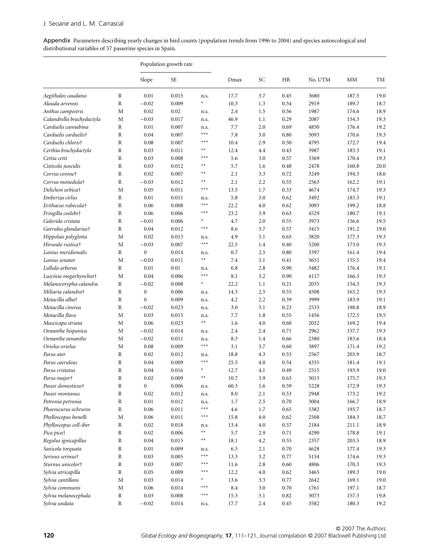| Appendix Parameters describing yearly changes in bird counts (population trends from 1996 to 2004) and species autoecological and |  |
|-----------------------------------------------------------------------------------------------------------------------------------|--|
| distributional variables of 57 passerine species in Spain.                                                                        |  |

|                             |              | Population growth rate |           |              |         |     |      |         |       |      |
|-----------------------------|--------------|------------------------|-----------|--------------|---------|-----|------|---------|-------|------|
|                             |              | Slope                  | <b>SE</b> |              | Dmax    | SC  | HB   | No. UTM | MМ    | TM   |
| Aegithalos caudatus         | $\mathbb{R}$ | 0.01                   | 0.015     | n.s.         | 17.7    | 3.7 | 0.45 | 3680    | 187.5 | 19.0 |
| Alauda arvensis             | $\mathbb{R}$ | $-0.02$                | 0.009     | $\star$      | 10.3    | 1.3 | 0.54 | 2919    | 189.7 | 18.7 |
| Anthus campestris           | M            | 0.02                   | 0.02      | n.s.         | 2.4     | 1.5 | 0.56 | 1987    | 174.6 | 18.9 |
| Calandrella brachydactyla   | М            | $-0.03$                | 0.017     | n.s.         | 46.9    | 1.1 | 0.29 | 2087    | 154.3 | 19.3 |
| Carduelis cannabina         | R            | 0.01                   | 0.007     | n.s.         | 7.7     | 2.0 | 0.69 | 4850    | 176.4 | 19.2 |
| Carduelis carduelis†        | $\mathbb R$  | 0.04                   | 0.007     | $***$        | 7.8     | 3.0 | 0.80 | 5093    | 170.6 | 19.3 |
| Carduelis chloris†          | R            | 0.08                   | 0.007     | $***$        | 10.4    | 2.9 | 0.50 | 4795    | 172.7 | 19.4 |
| Certhia brachydactyla       | R            | 0.03                   | 0.011     | $**$         | 12.4    | 4.4 | 0.43 | 3987    | 183.3 | 19.1 |
| Cettia cetti                | $\mathbb{R}$ | 0.03                   | 0.008     | $***$        | 5.6     | 3.0 | 0.57 | 3369    | 170.4 | 19.3 |
| Cisticola juncidis          | R            | 0.03                   | 0.012     | $***$        | 5.7     | 1.6 | 0.48 | 2478    | 160.8 | 20.0 |
| Corvus corone†              | R            | 0.02                   | 0.007     | $***$        | 2.1     | 3.3 | 0.72 | 3249    | 194.3 | 18.6 |
| Corvus monedula†            | $\mathbb R$  | $-0.03$                | 0.012     | $**$         | 2.1     | 2.2 | 0.55 | 2563    | 162.2 | 19.1 |
| Delichon urbica†            | M            | 0.05                   | 0.011     | $***$        | 13.5    | 1.7 | 0.33 | 4674    | 174.7 | 19.3 |
| Emberiza cirlus             | R            | 0.01                   | 0.011     | n.s.         | 5.8     | 3.0 | 0.62 | 3492    | 183.3 | 19.1 |
| Erithacus rubecula†         | $\mathbb{R}$ | 0.06                   | 0.008     | $***$        | 22.2    | 4.0 | 0.62 | 3093    | 199.2 | 18.8 |
| Fringilla coelebs†          | R            | 0.06                   | 0.006     | $***$        | 23.2    | 3.9 | 0.63 | 4529    | 180.7 | 19.1 |
| Galerida cristata           | R            | $-0.01$                | 0.006     | $\star$      | 4.7     | 2.0 | 0.55 | 3973    | 156.6 | 19.5 |
| Garrulus glandarius†        | $\mathbb{R}$ | 0.04                   | 0.012     | $***$        | 8.6     | 3.7 | 0.57 | 3415    | 191.2 | 19.0 |
| Hippolais polyglotta        | М            | 0.02                   | 0.013     | n.s.         | 4.9     | 3.1 | 0.65 | 3820    | 177.3 | 19.3 |
| Hirundo rustica†            | M            | $-0.03$                | 0.007     | $***$        | 22.5    | 1.4 | 0.40 | 5200    | 173.0 | 19.3 |
| Lanius meridionalis         | $\mathbb{R}$ | $\boldsymbol{0}$       | 0.014     | n.s.         | 0.7     | 2.5 | 0.80 | 3397    | 161.4 | 19.4 |
| Lanius senator              | М            | $-0.03$                | 0.011     | $***$        | 7.4     | 3.1 | 0.41 | 3651    | 155.5 | 19.4 |
| Lullula arborea             | R            | 0.01                   | 0.01      | n.s.         | 6.8     | 2.8 | 0.90 | 3482    | 176.4 | 19.1 |
| Luscinia megarhynchos†      | M            | 0.04                   | 0.006     | $***$        | 8.1     | 3.2 | 0.90 | 4117    | 166.3 | 19.3 |
| Melanocorypha calandra      | R            | $-0.02$                | 0.008     | $\ast$       | 22.2    | 1.1 | 0.21 | 2035    | 154.3 | 19.3 |
| Miliaria calandra†          | R            | $\boldsymbol{0}$       | 0.006     | n.s.         | 14.3    | 2.5 | 0.55 | 4508    | 165.2 | 19.3 |
| Motacilla alba <sup>+</sup> | $\mathbb{R}$ | $\mathbf{0}$           | 0.009     | n.s.         | 4.2     | 2.2 | 0.39 | 3999    | 183.9 | 19.1 |
| Motacilla cinerea           | R            | $-0.02$                | 0.023     | n.s.         | 3.0     | 3.1 | 0.23 | 2535    | 198.8 | 18.9 |
| Motacilla flava             | M            | 0.03                   | 0.015     | n.s.         | 7.7     | 1.8 | 0.55 | 1456    | 172.5 | 19.5 |
| Muscicapa striata           | M            | 0.06                   | 0.023     | $\star\star$ | 1.6     | 4.0 | 0.60 | 2032    | 169.2 | 19.4 |
| Oenanthe hispanica          | М            | $-0.02$                | 0.014     | n.s.         | 2.4     | 2.4 | 0.71 | 2962    | 157.7 | 19.3 |
| Oenanthe oenanthe           | M            | $-0.02$                | 0.011     | n.s.         | 8.3     | 1.4 | 0.66 | 2380    | 183.6 | 18.4 |
| Oriolus oriolus             | M            | 0.08                   | 0.009     | $***$        | 3.1     | 3.7 | 0.60 | 3897    | 171.4 | 19.2 |
| Parus ater                  | R            | 0.02                   | 0.012     | n.s.         | 18.8    | 4.3 | 0.53 | 2567    | 203.9 | 18.7 |
| Parus caeruleus             | R            | 0.04                   | 0.009     | $***$        | 25.5    | 4.0 | 0.54 | 4335    | 181.4 | 19.1 |
| Parus cristatus             | R            | 0.04                   | 0.016     | $\ast$       | 12.7    | 4.1 | 0.49 | 2515    | 193.9 | 19.0 |
| Parus major†                | R            | 0.02                   | 0.009     | $**$         | 10.7    | 3.9 | 0.63 | 5013    | 175.7 | 19.3 |
| Passer domesticus†          | $\mathbb R$  | 0                      | 0.006     | n.s.         | 60.3    | 1.6 | 0.59 | 5228    | 172.9 | 19.3 |
| Passer montanus             | ${\bf R}$    | 0.02                   | 0.012     | n.s.         | $8.0\,$ | 2.1 | 0.53 | 2948    | 173.2 | 19.2 |
| Petronia petronia           | ${\bf R}$    | 0.01                   | 0.012     | n.s.         | 1.7     | 2.5 | 0.70 | 3004    | 166.7 | 18.9 |
| Phoenicurus ochruros        | $\mathbb R$  | 0.06                   | 0.011     | $***$        | 4.6     | 1.7 | 0.65 | 3382    | 193.7 | 18.7 |
| Phylloscopus bonelli        | М            | 0.06                   | 0.011     | $***$        | 15.8    | 4.0 | 0.62 | 2508    | 184.3 | 18.7 |
| Phylloscopus coll-iber      | R            | 0.02                   | 0.018     | n.s.         | 13.4    | 4.0 | 0.57 | 2184    | 211.1 | 18.9 |
| Pica pica†                  | R            | 0.02                   | 0.006     | $***$        | 5.7     | 2.9 | 0.71 | 4290    | 178.8 | 19.1 |
| Regulus ignicapillus        | R            | $0.04\,$               | 0.015     | $***$        | 18.1    | 4.2 | 0.55 | 2357    | 203.5 | 18.9 |
| Saxicola torquata           | $\mathbb R$  | 0.01                   | 0.009     | n.s.         | 6.5     | 2.1 | 0.70 | 4628    | 177.4 | 19.3 |
| Serinus serinus†            | R            | 0.03                   | 0.005     | $***$        | 13.3    | 3.2 | 0.77 | 5154    | 174.6 | 19.3 |
| Sturnus unicolor†           | R            | 0.03                   | 0.007     | $***$        | 11.6    | 2.8 | 0.60 | 4806    | 170.3 | 19.3 |
| Sylvia atricapilla          | $\mathbb R$  | 0.05                   | 0.009     | $***$        | 12.2    | 4.0 | 0.62 | 3465    | 189.3 | 19.0 |
| Sylvia cantillans           | М            | 0.03                   | 0.014     | $\ast$       | 13.6    | 3.3 | 0.77 | 2642    | 169.1 | 19.0 |
| Sylvia communis             | М            | 0.06                   | 0.014     | $***$        | 8.4     | 3.0 | 0.70 | 1761    | 197.1 | 18.7 |
| Sylvia melanocephala        | $\mathbb R$  | 0.03                   | 0.008     | $***$        | 15.3    | 3.1 | 0.82 | 3073    | 157.3 | 19.8 |
| Sylvia undata               | R            | $-0.02$                | 0.014     | n.s.         | 17.7    | 2.4 | 0.45 | 3582    | 180.3 | 19.2 |